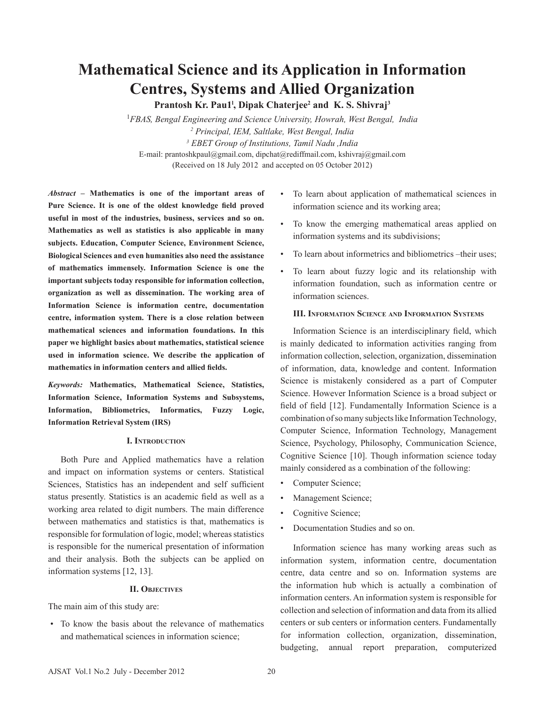# **Mathematical Science and its Application in Information Centres, Systems and Allied Organization**

**Prantosh Kr. Pau1l , Dipak Chaterjee2 and K. S. Shivraj3**

1 *FBAS, Bengal Engineering and Science University, Howrah, West Bengal, India 2 Principal, IEM, Saltlake, West Bengal, India 3 EBET Group of Institutions, Tamil Nadu ,India* E-mail: prantoshkpaul@gmail.com, dipchat@rediffmail.com, kshivraj@gmail.com (Received on 18 July 2012 and accepted on 05 October 2012)

*Abstract* **– Mathematics is one of the important areas of Pure Science. It is one of the oldest knowledge field proved useful in most of the industries, business, services and so on. Mathematics as well as statistics is also applicable in many subjects. Education, Computer Science, Environment Science, Biological Sciences and even humanities also need the assistance of mathematics immensely. Information Science is one the important subjects today responsible for information collection, organization as well as dissemination. The working area of Information Science is information centre, documentation centre, information system. There is a close relation between mathematical sciences and information foundations. In this paper we highlight basics about mathematics, statistical science used in information science. We describe the application of mathematics in information centers and allied fields.**

*Keywords:* **Mathematics, Mathematical Science, Statistics, Information Science, Information Systems and Subsystems, Information, Bibliometrics, Informatics, Fuzzy Logic, Information Retrieval System (IRS)**

### **I. Introduction**

Both Pure and Applied mathematics have a relation and impact on information systems or centers. Statistical Sciences, Statistics has an independent and self sufficient status presently. Statistics is an academic field as well as a working area related to digit numbers. The main difference between mathematics and statistics is that, mathematics is responsible for formulation of logic, model; whereas statistics is responsible for the numerical presentation of information and their analysis. Both the subjects can be applied on information systems [12, 13].

### **II. Objectives**

The main aim of this study are:

 • To know the basis about the relevance of mathematics and mathematical sciences in information science;

- To learn about application of mathematical sciences in information science and its working area;
- To know the emerging mathematical areas applied on information systems and its subdivisions;
- To learn about informetrics and bibliometrics –their uses;
- To learn about fuzzy logic and its relationship with information foundation, such as information centre or information sciences.

#### **III. Information Science and Information Systems**

Information Science is an interdisciplinary field, which is mainly dedicated to information activities ranging from information collection, selection, organization, dissemination of information, data, knowledge and content. Information Science is mistakenly considered as a part of Computer Science. However Information Science is a broad subject or field of field [12]. Fundamentally Information Science is a combination of so many subjects like Information Technology, Computer Science, Information Technology, Management Science, Psychology, Philosophy, Communication Science, Cognitive Science [10]. Though information science today mainly considered as a combination of the following:

- Computer Science;
- Management Science;
- Cognitive Science;
- Documentation Studies and so on.

Information science has many working areas such as information system, information centre, documentation centre, data centre and so on. Information systems are the information hub which is actually a combination of information centers. An information system is responsible for collection and selection of information and data from its allied centers or sub centers or information centers. Fundamentally for information collection, organization, dissemination, budgeting, annual report preparation, computerized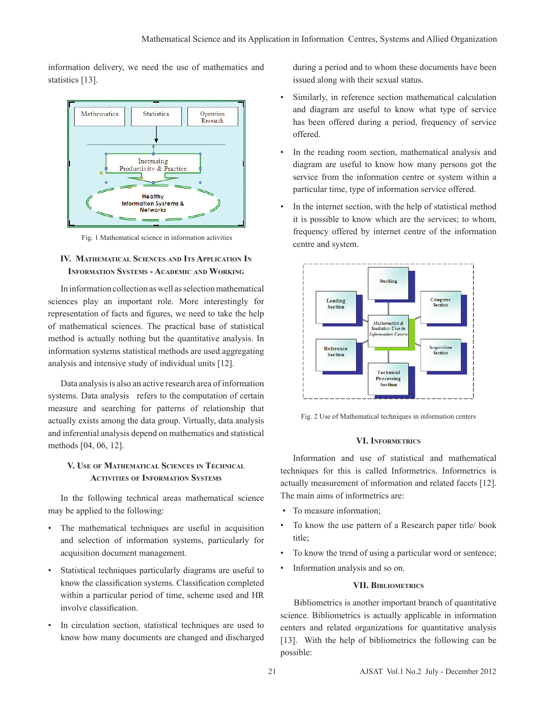information delivery, we need the use of mathematics and statistics [13].



Fig. 1 Mathematical science in information activities

# **IV. Mathematical Sciences and Its Application In Information Systems - Academic and Working**

In information collection as well as selection mathematical sciences play an important role. More interestingly for representation of facts and figures, we need to take the help of mathematical sciences. The practical base of statistical method is actually nothing but the quantitative analysis. In information systems statistical methods are used aggregating analysis and intensive study of individual units [12].

Data analysis is also an active research area of information systems. Data analysis refers to the computation of certain measure and searching for patterns of relationship that actually exists among the data group. Virtually, data analysis and inferential analysis depend on mathematics and statistical methods [04, 06, 12].

# **V. Use of Mathematical Sciences in Technical Activities of Information Systems**

In the following technical areas mathematical science may be applied to the following:

- The mathematical techniques are useful in acquisition and selection of information systems, particularly for acquisition document management.
- Statistical techniques particularly diagrams are useful to know the classification systems. Classification completed within a particular period of time, scheme used and HR involve classification.
- In circulation section, statistical techniques are used to know how many documents are changed and discharged

during a period and to whom these documents have been issued along with their sexual status.

- Similarly, in reference section mathematical calculation and diagram are useful to know what type of service has been offered during a period, frequency of service offered.
- In the reading room section, mathematical analysis and diagram are useful to know how many persons got the service from the information centre or system within a particular time, type of information service offered.
- In the internet section, with the help of statistical method it is possible to know which are the services; to whom, frequency offered by internet centre of the information centre and system.



Fig. 2 Use of Mathematical techniques in information centers

# **VI. Informetrics**

Information and use of statistical and mathematical techniques for this is called Informetrics. Informetrics is actually measurement of information and related facets [12]. The main aims of informetrics are:

- To measure information;
- To know the use pattern of a Research paper title/ book title;
- To know the trend of using a particular word or sentence;
- Information analysis and so on.

## **VII. Bibliometrics**

Bibliometrics is another important branch of quantitative science. Bibliometrics is actually applicable in information centers and related organizations for quantitative analysis [13]. With the help of bibliometrics the following can be possible: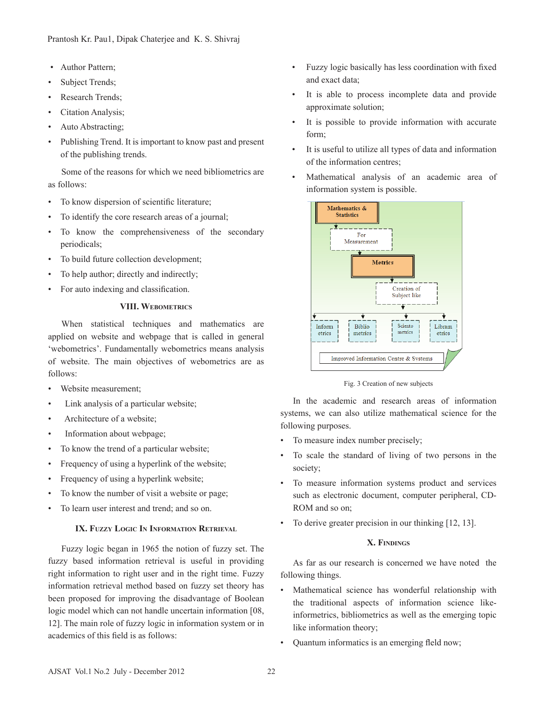- Author Pattern;
- Subject Trends;
- Research Trends;
- Citation Analysis;
- Auto Abstracting;
- Publishing Trend. It is important to know past and present of the publishing trends.

Some of the reasons for which we need bibliometrics are as follows:

- To know dispersion of scientific literature;
- To identify the core research areas of a journal;
- To know the comprehensiveness of the secondary periodicals;
- To build future collection development;
- To help author; directly and indirectly;
- For auto indexing and classification.

## **VIII. Webometrics**

When statistical techniques and mathematics are applied on website and webpage that is called in general 'webometrics'. Fundamentally webometrics means analysis of website. The main objectives of webometrics are as follows:

- Website measurement;
- Link analysis of a particular website;
- Architecture of a website;
- Information about webpage;
- To know the trend of a particular website;
- Frequency of using a hyperlink of the website;
- Frequency of using a hyperlink website;
- To know the number of visit a website or page;
- To learn user interest and trend; and so on.

# **IX. Fuzzy Logic In Information Retrieval**

Fuzzy logic began in 1965 the notion of fuzzy set. The fuzzy based information retrieval is useful in providing right information to right user and in the right time. Fuzzy information retrieval method based on fuzzy set theory has been proposed for improving the disadvantage of Boolean logic model which can not handle uncertain information [08, 12]. The main role of fuzzy logic in information system or in academics of this field is as follows:

- Fuzzy logic basically has less coordination with fixed and exact data;
- It is able to process incomplete data and provide approximate solution;
- It is possible to provide information with accurate form;
- It is useful to utilize all types of data and information of the information centres;
- Mathematical analysis of an academic area of information system is possible.



Fig. 3 Creation of new subjects

In the academic and research areas of information systems, we can also utilize mathematical science for the following purposes.

- To measure index number precisely;
- To scale the standard of living of two persons in the society;
- To measure information systems product and services such as electronic document, computer peripheral, CD-ROM and so on;
- To derive greater precision in our thinking [12, 13].

# **X. Findings**

As far as our research is concerned we have noted the following things.

- Mathematical science has wonderful relationship with the traditional aspects of information science likeinformetrics, bibliometrics as well as the emerging topic like information theory;
- Quantum informatics is an emerging fleld now;